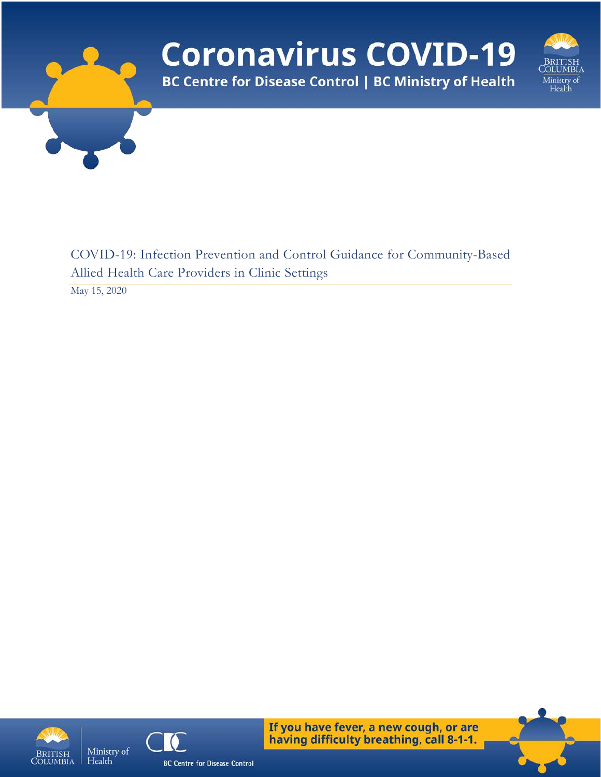

May 15, 2020





If you have fever, a new cough, or are having difficulty breathing, call 8-1-1.

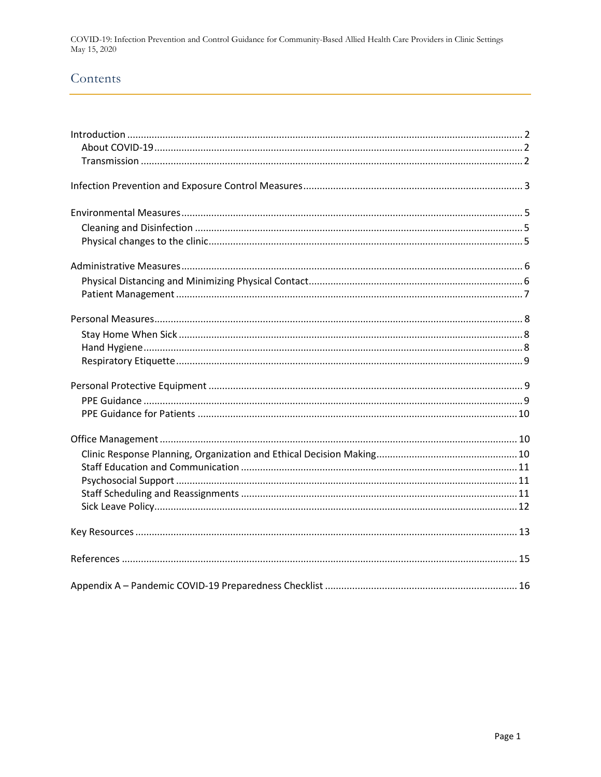# Contents

<span id="page-1-0"></span>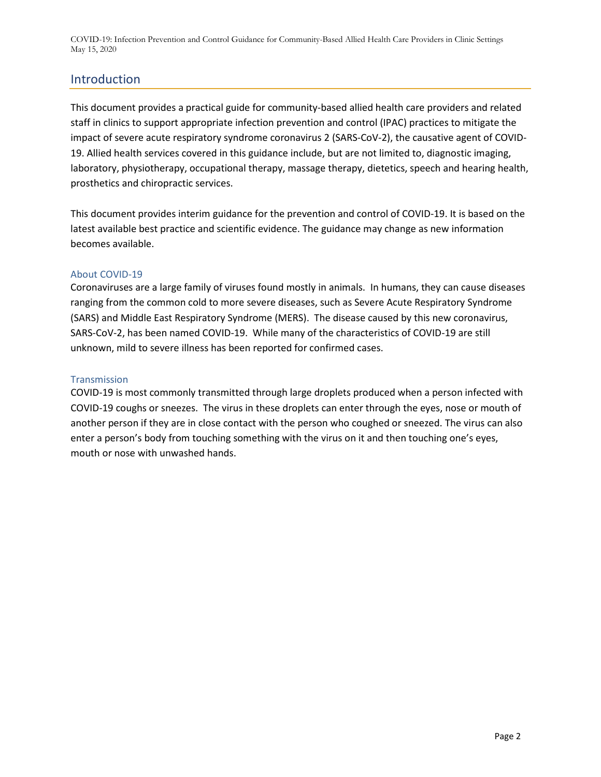# Introduction

This document provides a practical guide for community-based allied health care providers and related staff in clinics to support appropriate infection prevention and control (IPAC) practices to mitigate the impact of severe acute respiratory syndrome coronavirus 2 (SARS-CoV-2), the causative agent of COVID-19. Allied health services covered in this guidance include, but are not limited to, diagnostic imaging, laboratory, physiotherapy, occupational therapy, massage therapy, dietetics, speech and hearing health, prosthetics and chiropractic services.

This document provides interim guidance for the prevention and control of COVID-19. It is based on the latest available best practice and scientific evidence. The guidance may change as new information becomes available.

#### <span id="page-2-0"></span>About COVID-19

Coronaviruses are a large family of viruses found mostly in animals. In humans, they can cause diseases ranging from the common cold to more severe diseases, such as Severe Acute Respiratory Syndrome (SARS) and Middle East Respiratory Syndrome (MERS). The disease caused by this new coronavirus, SARS-CoV-2, has been named COVID-19. While many of the characteristics of COVID-19 are still unknown, mild to severe illness has been reported for confirmed cases.

#### <span id="page-2-1"></span>**Transmission**

COVID-19 is most commonly transmitted through large droplets produced when a person infected with COVID-19 coughs or sneezes. The virus in these droplets can enter through the eyes, nose or mouth of another person if they are in close contact with the person who coughed or sneezed. The virus can also enter a person's body from touching something with the virus on it and then touching one's eyes, mouth or nose with unwashed hands.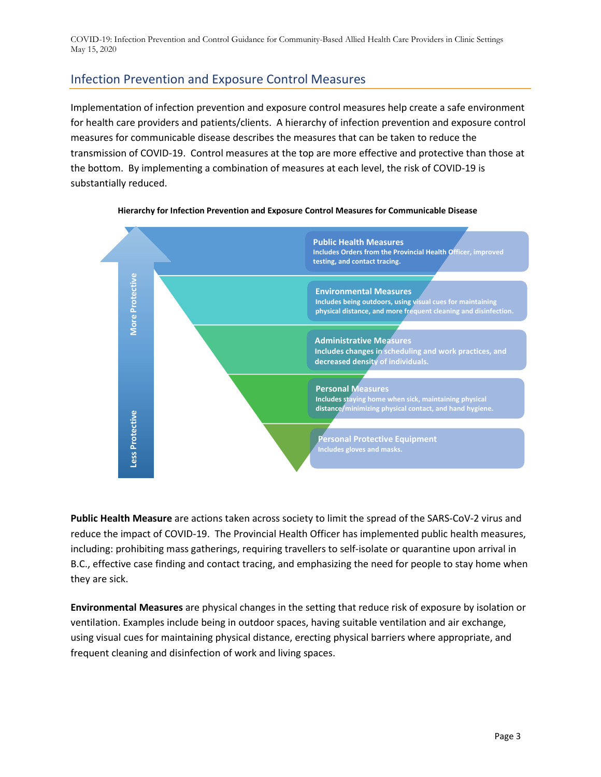# <span id="page-3-0"></span>Infection Prevention and Exposure Control Measures

Implementation of infection prevention and exposure control measures help create a safe environment for health care providers and patients/clients. A hierarchy of infection prevention and exposure control measures for communicable disease describes the measures that can be taken to reduce the transmission of COVID-19. Control measures at the top are more effective and protective than those at the bottom. By implementing a combination of measures at each level, the risk of COVID-19 is substantially reduced.



#### **Hierarchy for Infection Prevention and Exposure Control Measures for Communicable Disease**

**Public Health Measure** are actions taken across society to limit the spread of the SARS-CoV-2 virus and reduce the impact of COVID-19. The Provincial Health Officer has implemented public health measures, including: prohibiting mass gatherings, requiring travellers to self-isolate or quarantine upon arrival in B.C., effective case finding and contact tracing, and emphasizing the need for people to stay home when they are sick.

**Environmental Measures** are physical changes in the setting that reduce risk of exposure by isolation or ventilation. Examples include being in outdoor spaces, having suitable ventilation and air exchange, using visual cues for maintaining physical distance, erecting physical barriers where appropriate, and frequent cleaning and disinfection of work and living spaces.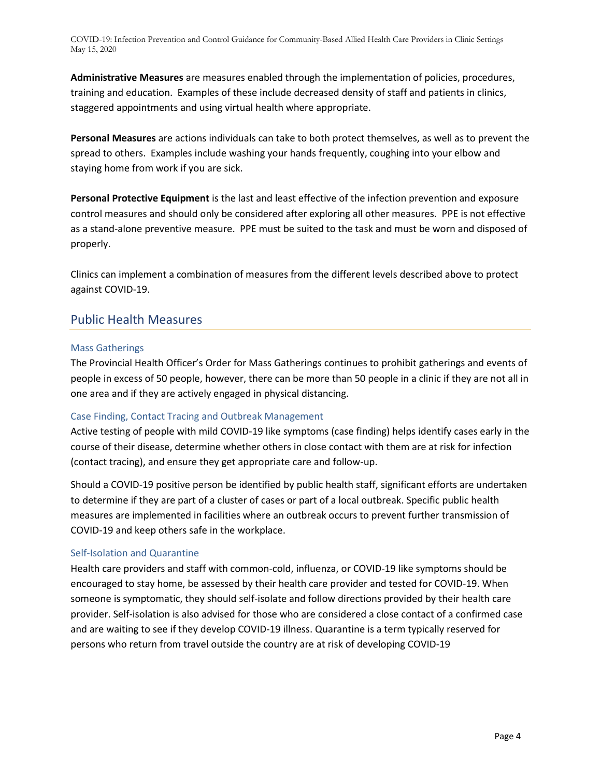**Administrative Measures** are measures enabled through the implementation of policies, procedures, training and education. Examples of these include decreased density of staff and patients in clinics, staggered appointments and using virtual health where appropriate.

**Personal Measures** are actions individuals can take to both protect themselves, as well as to prevent the spread to others. Examples include washing your hands frequently, coughing into your elbow and staying home from work if you are sick.

**Personal Protective Equipment** is the last and least effective of the infection prevention and exposure control measures and should only be considered after exploring all other measures. PPE is not effective as a stand-alone preventive measure. PPE must be suited to the task and must be worn and disposed of properly.

Clinics can implement a combination of measures from the different levels described above to protect against COVID-19.

## Public Health Measures

#### Mass Gatherings

The Provincial Health Officer's Order for Mass Gatherings continues to prohibit gatherings and events of people in excess of 50 people, however, there can be more than 50 people in a clinic if they are not all in one area and if they are actively engaged in physical distancing.

#### Case Finding, Contact Tracing and Outbreak Management

Active testing of people with mild COVID-19 like symptoms (case finding) helps identify cases early in the course of their disease, determine whether others in close contact with them are at risk for infection (contact tracing), and ensure they get appropriate care and follow-up.

Should a COVID-19 positive person be identified by public health staff, significant efforts are undertaken to determine if they are part of a cluster of cases or part of a local outbreak. Specific public health measures are implemented in facilities where an outbreak occurs to prevent further transmission of COVID-19 and keep others safe in the workplace.

#### Self-Isolation and Quarantine

Health care providers and staff with common-cold, influenza, or COVID-19 like symptoms should be encouraged to stay home, be assessed by their health care provider and tested for COVID-19. When someone is symptomatic, they should self-isolate and follow directions provided by their health care provider. Self-isolation is also advised for those who are considered a close contact of a confirmed case and are waiting to see if they develop COVID-19 illness. Quarantine is a term typically reserved for persons who return from travel outside the country are at risk of developing COVID-19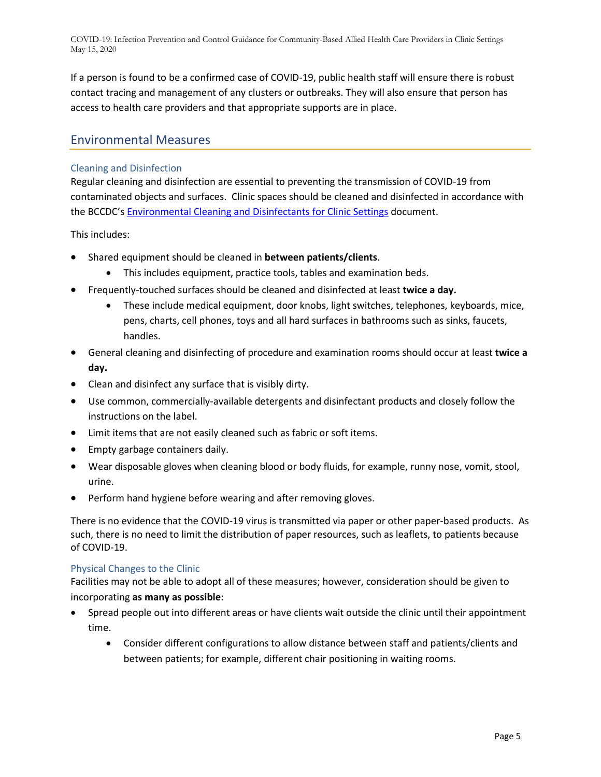If a person is found to be a confirmed case of COVID-19, public health staff will ensure there is robust contact tracing and management of any clusters or outbreaks. They will also ensure that person has access to health care providers and that appropriate supports are in place.

## <span id="page-5-0"></span>Environmental Measures

#### <span id="page-5-1"></span>Cleaning and Disinfection

Regular cleaning and disinfection are essential to preventing the transmission of COVID-19 from contaminated objects and surfaces. Clinic spaces should be cleaned and disinfected in accordance with the BCCDC's [Environmental Cleaning and Disinfectants for Clinic Settings](http://www.bccdc.ca/Health-Professionals-Site/Documents/COVID-19_MOH_BCCDC_EnvironmentalCleaning.pdf) document.

This includes:

- Shared equipment should be cleaned in **between patients/clients**.
	- This includes equipment, practice tools, tables and examination beds.
- Frequently-touched surfaces should be cleaned and disinfected at least **twice a day.**
	- These include medical equipment, door knobs, light switches, telephones, keyboards, mice, pens, charts, cell phones, toys and all hard surfaces in bathrooms such as sinks, faucets, handles.
- General cleaning and disinfecting of procedure and examination rooms should occur at least **twice a day.**
- Clean and disinfect any surface that is visibly dirty.
- Use common, commercially-available detergents and disinfectant products and closely follow the instructions on the label.
- Limit items that are not easily cleaned such as fabric or soft items.
- Empty garbage containers daily.
- Wear disposable gloves when cleaning blood or body fluids, for example, runny nose, vomit, stool, urine.
- Perform hand hygiene before wearing and after removing gloves.

There is no evidence that the COVID-19 virus is transmitted via paper or other paper-based products. As such, there is no need to limit the distribution of paper resources, such as leaflets, to patients because of COVID-19.

#### <span id="page-5-2"></span>Physical Changes to the Clinic

Facilities may not be able to adopt all of these measures; however, consideration should be given to incorporating **as many as possible**:

- Spread people out into different areas or have clients wait outside the clinic until their appointment time.
	- Consider different configurations to allow distance between staff and patients/clients and between patients; for example, different chair positioning in waiting rooms.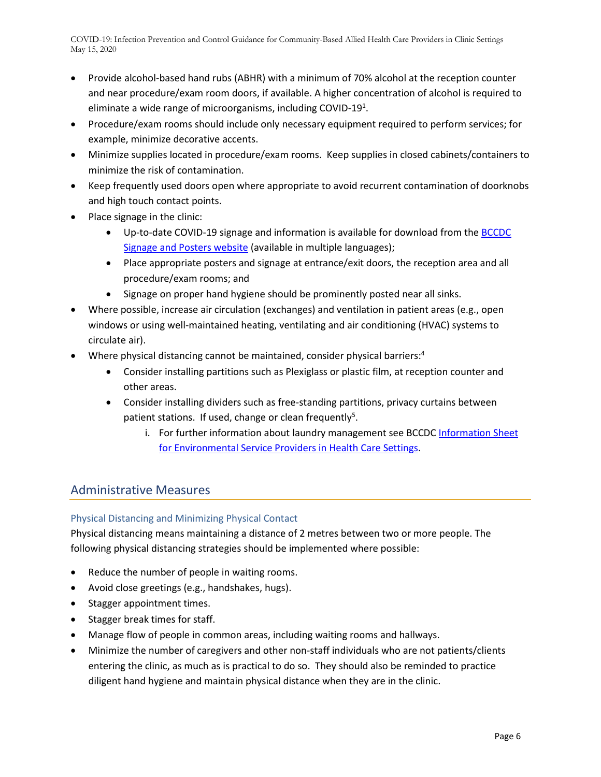- Provide alcohol-based hand rubs (ABHR) with a minimum of 70% alcohol at the reception counter and near procedure/exam room doors, if available. A higher concentration of alcohol is required to eliminate a wide range of microorganisms, including COVID-19 $^1$ .
- Procedure/exam rooms should include only necessary equipment required to perform services; for example, minimize decorative accents.
- Minimize supplies located in procedure/exam rooms. Keep supplies in closed cabinets/containers to minimize the risk of contamination.
- Keep frequently used doors open where appropriate to avoid recurrent contamination of doorknobs and high touch contact points.
- Place signage in the clinic:
	- Up-to-date COVID-19 signage and information is available for download from th[e BCCDC](http://www.bccdc.ca/health-professionals/clinical-resources/covid-19-care/signage-posters)  [Signage and Posters website](http://www.bccdc.ca/health-professionals/clinical-resources/covid-19-care/signage-posters) (available in multiple languages);
	- Place appropriate posters and signage at entrance/exit doors, the reception area and all procedure/exam rooms; and
	- Signage on proper hand hygiene should be prominently posted near all sinks.
- Where possible, increase air circulation (exchanges) and ventilation in patient areas (e.g., open windows or using well-maintained heating, ventilating and air conditioning (HVAC) systems to circulate air).
- Where physical distancing cannot be maintained, consider physical barriers:<sup>4</sup>
	- Consider installing partitions such as Plexiglass or plastic film, at reception counter and other areas.
	- Consider installing dividers such as free-standing partitions, privacy curtains between patient stations. If used, change or clean frequently<sup>5</sup>.
		- i. For further information about laundry management see BCCDC [Information Sheet](http://www.bccdc.ca/Health-Info-Site/Documents/Environmental_Service_Providers_Health_Care.pdf)  [for Environmental Service Providers in Health](http://www.bccdc.ca/Health-Info-Site/Documents/Environmental_Service_Providers_Health_Care.pdf) Care Settings.

# <span id="page-6-0"></span>Administrative Measures

### <span id="page-6-1"></span>Physical Distancing and Minimizing Physical Contact

Physical distancing means maintaining a distance of 2 metres between two or more people. The following physical distancing strategies should be implemented where possible:

- Reduce the number of people in waiting rooms.
- Avoid close greetings (e.g., handshakes, hugs).
- Stagger appointment times.
- Stagger break times for staff.
- Manage flow of people in common areas, including waiting rooms and hallways.
- Minimize the number of caregivers and other non-staff individuals who are not patients/clients entering the clinic, as much as is practical to do so. They should also be reminded to practice diligent hand hygiene and maintain physical distance when they are in the clinic.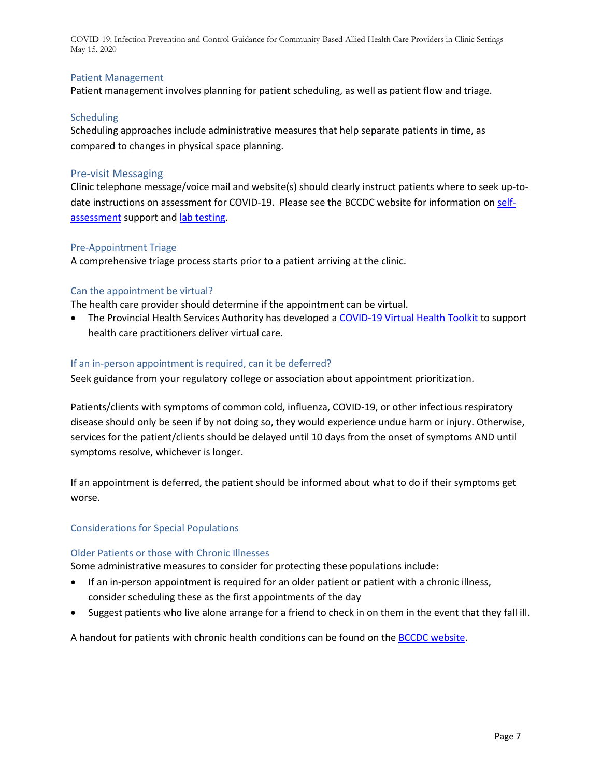#### <span id="page-7-0"></span>Patient Management

Patient management involves planning for patient scheduling, as well as patient flow and triage.

#### **Scheduling**

Scheduling approaches include administrative measures that help separate patients in time, as compared to changes in physical space planning.

#### Pre-visit Messaging

Clinic telephone message/voice mail and website(s) should clearly instruct patients where to seek up-todate instructions on assessment for COVID-19. Please see the BCCDC website for information on [self](https://bc.thrive.health/)[assessment](https://bc.thrive.health/) support and [lab testing.](http://www.bccdc.ca/health-professionals/clinical-resources/covid-19-care/lab-testing)

#### Pre-Appointment Triage

A comprehensive triage process starts prior to a patient arriving at the clinic.

#### Can the appointment be virtual?

The health care provider should determine if the appointment can be virtual.

• The Provincial Health Services Authority has developed a [COVID-19 Virtual Health Toolkit](http://www.phsa.ca/health-professionals/professional-resources/office-of-virtual-health/covid-19-virtual-health-toolkit) to support health care practitioners deliver virtual care.

#### If an in-person appointment is required, can it be deferred?

Seek guidance from your regulatory college or association about appointment prioritization.

Patients/clients with symptoms of common cold, influenza, COVID-19, or other infectious respiratory disease should only be seen if by not doing so, they would experience undue harm or injury. Otherwise, services for the patient/clients should be delayed until 10 days from the onset of symptoms AND until symptoms resolve, whichever is longer.

If an appointment is deferred, the patient should be informed about what to do if their symptoms get worse.

#### Considerations for Special Populations

#### Older Patients or those with Chronic Illnesses

Some administrative measures to consider for protecting these populations include:

- If an in-person appointment is required for an older patient or patient with a chronic illness, consider scheduling these as the first appointments of the day
- Suggest patients who live alone arrange for a friend to check in on them in the event that they fall ill.

A handout for patients with chronic health conditions can be found on the [BCCDC website.](http://www.bccdc.ca/resource-gallery/Documents/Guidelines%20and%20Forms/Guidelines%20and%20Manuals/Epid/CD%20Manual/Chapter%201%20-%20CDC/COVID-19-Handout-chronic-disease.pdf)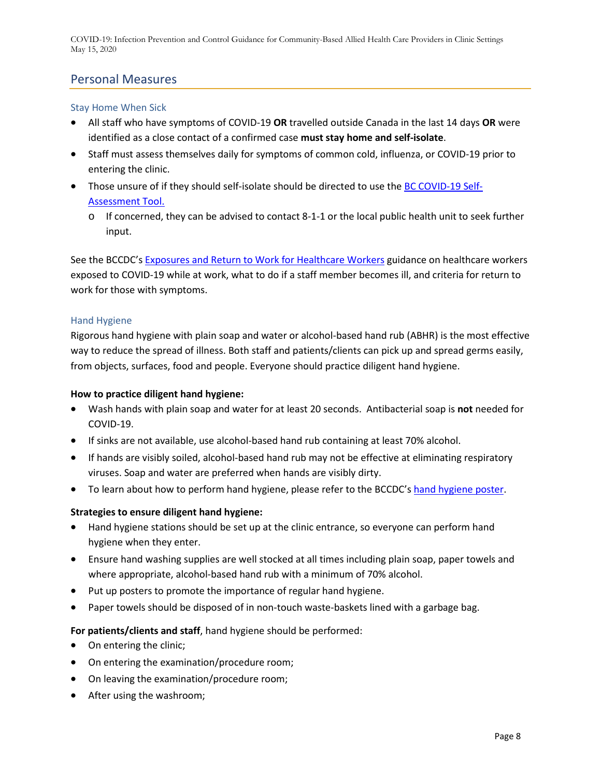## <span id="page-8-0"></span>Personal Measures

#### <span id="page-8-1"></span>Stay Home When Sick

- All staff who have symptoms of COVID-19 **OR** travelled outside Canada in the last 14 days **OR** were identified as a close contact of a confirmed case **must stay home and [self-isolate](http://www.bccdc.ca/health-info/diseases-conditions/covid-19/self-isolation)**.
- Staff must assess themselves daily for symptoms of common cold, influenza, or COVID-19 prior to entering the clinic.
- Those unsure of if they should self-isolate should be directed to use the [BC COVID-19 Self-](https://bc.thrive.health/)[Assessment Tool.](https://bc.thrive.health/) 
	- $\circ$  If concerned, they can be advised to contact 8-1-1 or the local public health unit to seek further input.

See the BCCDC's [Exposures and Return to Work for Healthcare Workers](http://www.bccdc.ca/health-professionals/clinical-resources/covid-19-care/testing-and-case-management-for-healthcare-workers) guidance on healthcare workers exposed to COVID-19 while at work, what to do if a staff member becomes ill, and criteria for return to work for those with symptoms.

#### <span id="page-8-2"></span>Hand Hygiene

Rigorous hand hygiene with plain soap and water or alcohol-based hand rub (ABHR) is the most effective way to reduce the spread of illness. Both staff and patients/clients can pick up and spread germs easily, from objects, surfaces, food and people. Everyone should practice diligent hand hygiene.

#### **How to practice diligent hand hygiene:**

- Wash hands with plain soap and water for at least 20 seconds. Antibacterial soap is **not** needed for COVID-19.
- If sinks are not available, use alcohol-based hand rub containing at least 70% alcohol.
- If hands are visibly soiled, alcohol-based hand rub may not be effective at eliminating respiratory viruses. Soap and water are preferred when hands are visibly dirty.
- To learn about how to perform hand hygiene, please refer to the BCCDC'[s hand hygiene poster.](http://www.bccdc.ca/health-professionals/clinical-resources/covid-19-care/signage-posters)

#### **Strategies to ensure diligent hand hygiene:**

- Hand hygiene stations should be set up at the clinic entrance, so everyone can perform hand hygiene when they enter.
- Ensure hand washing supplies are well stocked at all times including plain soap, paper towels and where appropriate, alcohol-based hand rub with a minimum of 70% alcohol.
- Put up posters to promote the importance of regular hand hygiene.
- Paper towels should be disposed of in non-touch waste-baskets lined with a garbage bag.

#### **For patients/clients and staff**, hand hygiene should be performed:

- On entering the clinic;
- On entering the examination/procedure room;
- On leaving the examination/procedure room;
- After using the washroom;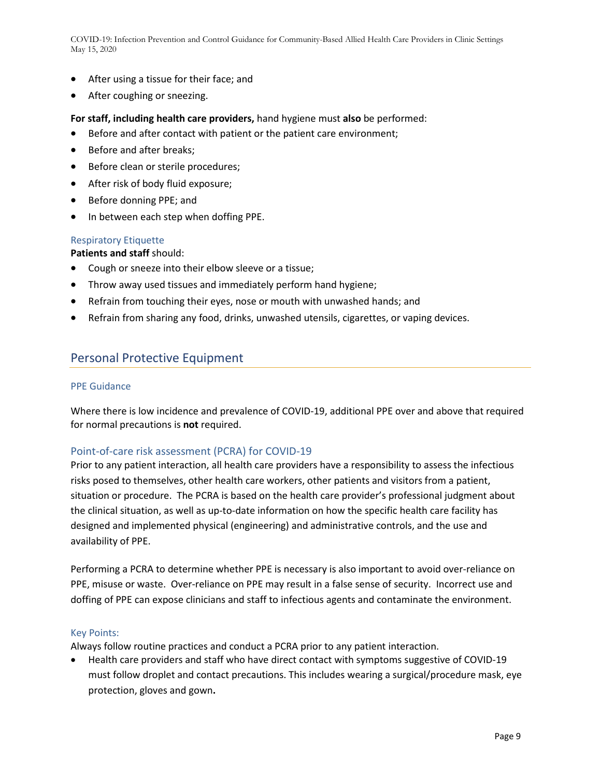- After using a tissue for their face; and
- After coughing or sneezing.

#### **For staff, including health care providers,** hand hygiene must **also** be performed:

- Before and after contact with patient or the patient care environment;
- Before and after breaks;
- Before clean or sterile procedures;
- After risk of body fluid exposure;
- Before donning PPE; and
- In between each step when doffing PPE.

#### <span id="page-9-0"></span>Respiratory Etiquette

**Patients and staff** should:

- Cough or sneeze into their elbow sleeve or a tissue;
- Throw away used tissues and immediately perform hand hygiene;
- Refrain from touching their eyes, nose or mouth with unwashed hands; and
- Refrain from sharing any food, drinks, unwashed utensils, cigarettes, or vaping devices.

## <span id="page-9-1"></span>Personal Protective Equipment

#### <span id="page-9-2"></span>PPE Guidance

Where there is low incidence and prevalence of COVID-19, additional PPE over and above that required for normal precautions is **not** required.

#### Point-of-care risk assessment (PCRA) for COVID-19

Prior to any patient interaction, all health care providers have a responsibility to assess the infectious risks posed to themselves, other health care workers, other patients and visitors from a patient, situation or procedure. The PCRA is based on the health care provider's professional judgment about the clinical situation, as well as up-to-date information on how the specific health care facility has designed and implemented physical (engineering) and administrative controls, and the use and availability of PPE.

Performing a PCRA to determine whether PPE is necessary is also important to avoid over-reliance on PPE, misuse or waste. Over-reliance on PPE may result in a false sense of security. Incorrect use and doffing of PPE can expose clinicians and staff to infectious agents and contaminate the environment.

#### Key Points:

Always follow routine practices and conduct a PCRA prior to any patient interaction.

• Health care providers and staff who have direct contact with symptoms suggestive of COVID-19 must follow droplet and contact precautions. This includes wearing a surgical/procedure mask, eye protection, gloves and gown**.**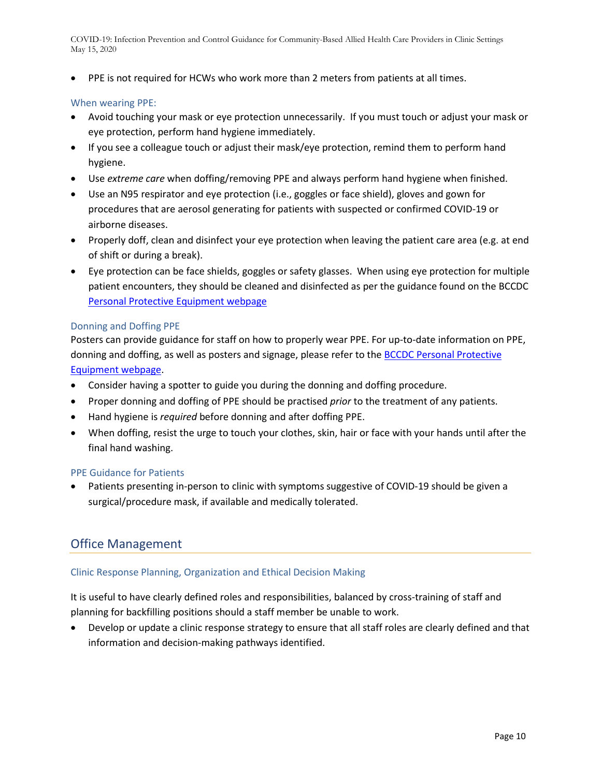• PPE is not required for HCWs who work more than 2 meters from patients at all times.

#### When wearing PPE:

- Avoid touching your mask or eye protection unnecessarily. If you must touch or adjust your mask or eye protection, perform hand hygiene immediately.
- If you see a colleague touch or adjust their mask/eye protection, remind them to perform hand hygiene.
- Use *extreme care* when doffing/removing PPE and always perform hand hygiene when finished.
- Use an N95 respirator and eye protection (i.e., goggles or face shield), gloves and gown for procedures that are aerosol generating for patients with suspected or confirmed COVID-19 or airborne diseases.
- Properly doff, clean and disinfect your eye protection when leaving the patient care area (e.g. at end of shift or during a break).
- Eye protection can be face shields, goggles or safety glasses. When using eye protection for multiple patient encounters, they should be cleaned and disinfected as per the guidance found on the BCCDC [Personal Protective Equipment webpage](http://www.bccdc.ca/health-professionals/clinical-resources/covid-19-care/infection-control/personal-protective-equipment)

#### Donning and Doffing PPE

Posters can provide guidance for staff on how to properly wear PPE. For up-to-date information on PPE, donning and doffing, as well as posters and signage, please refer to the **BCCDC Personal Protective** [Equipment webpage.](http://www.bccdc.ca/health-professionals/clinical-resources/covid-19-care/infection-control/personal-protective-equipment)

- Consider having a spotter to guide you during the donning and doffing procedure.
- Proper donning and doffing of PPE should be practised *prior* to the treatment of any patients.
- Hand hygiene is *required* before donning and after doffing PPE.
- When doffing, resist the urge to touch your clothes, skin, hair or face with your hands until after the final hand washing.

#### <span id="page-10-0"></span>PPE Guidance for Patients

• Patients presenting in-person to clinic with symptoms suggestive of COVID-19 should be given a surgical/procedure mask, if available and medically tolerated.

## <span id="page-10-1"></span>Office Management

#### <span id="page-10-2"></span>Clinic Response Planning, Organization and Ethical Decision Making

It is useful to have clearly defined roles and responsibilities, balanced by cross-training of staff and planning for backfilling positions should a staff member be unable to work.

• Develop or update a clinic response strategy to ensure that all staff roles are clearly defined and that information and decision-making pathways identified.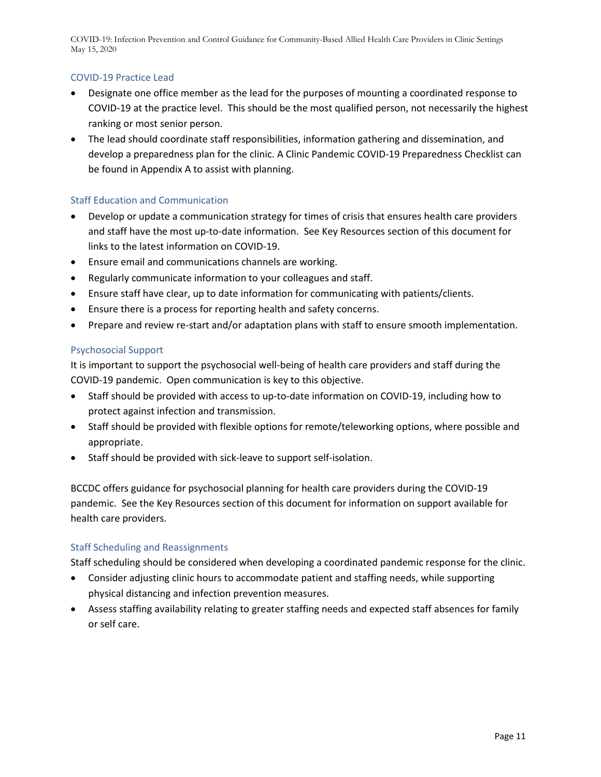#### COVID-19 Practice Lead

- Designate one office member as the lead for the purposes of mounting a coordinated response to COVID-19 at the practice level. This should be the most qualified person, not necessarily the highest ranking or most senior person.
- The lead should coordinate staff responsibilities, information gathering and dissemination, and develop a preparedness plan for the clinic. A Clinic Pandemic COVID-19 Preparedness Checklist can be found in Appendix A to assist with planning.

#### <span id="page-11-0"></span>Staff Education and Communication

- Develop or update a communication strategy for times of crisis that ensures health care providers and staff have the most up-to-date information. See Key Resources section of this document for links to the latest information on COVID-19.
- Ensure email and communications channels are working.
- Regularly communicate information to your colleagues and staff.
- Ensure staff have clear, up to date information for communicating with patients/clients.
- Ensure there is a process for reporting health and safety concerns.
- Prepare and review re-start and/or adaptation plans with staff to ensure smooth implementation.

#### <span id="page-11-1"></span>Psychosocial Support

It is important to support the psychosocial well-being of health care providers and staff during the COVID-19 pandemic. Open communication is key to this objective.

- Staff should be provided with access to up-to-date information on COVID-19, including how to protect against infection and transmission.
- Staff should be provided with flexible options for remote/teleworking options, where possible and appropriate.
- Staff should be provided with sick-leave to support self-isolation.

BCCDC offers guidance for psychosocial planning for health care providers during the COVID-19 pandemic. See the Key Resources section of this document for information on support available for health care providers.

#### <span id="page-11-2"></span>Staff Scheduling and Reassignments

Staff scheduling should be considered when developing a coordinated pandemic response for the clinic.

- Consider adjusting clinic hours to accommodate patient and staffing needs, while supporting physical distancing and infection prevention measures.
- <span id="page-11-3"></span>• Assess staffing availability relating to greater staffing needs and expected staff absences for family or self care.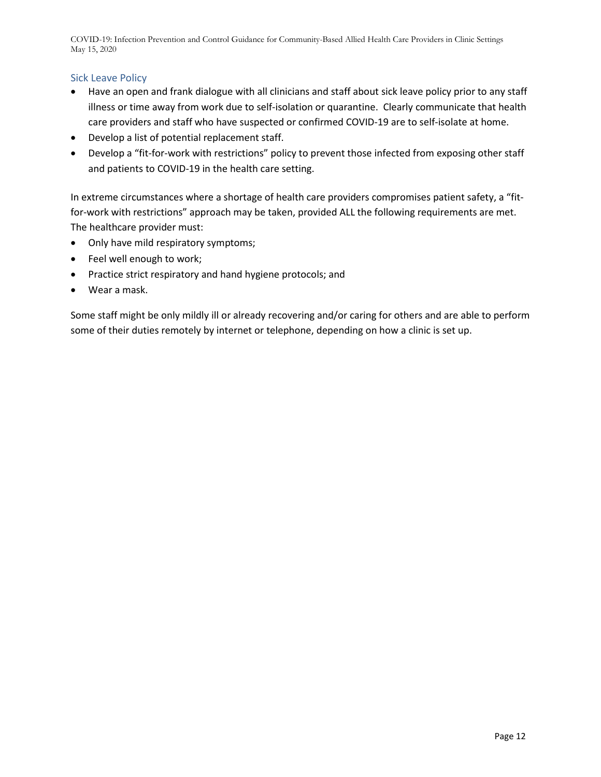#### Sick Leave Policy

- Have an open and frank dialogue with all clinicians and staff about sick leave policy prior to any staff illness or time away from work due to self-isolation or quarantine. Clearly communicate that health care providers and staff who have suspected or confirmed COVID-19 are to self-isolate at home.
- Develop a list of potential replacement staff.
- Develop a "fit-for-work with restrictions" policy to prevent those infected from exposing other staff and patients to COVID-19 in the health care setting.

In extreme circumstances where a shortage of health care providers compromises patient safety, a "fitfor-work with restrictions" approach may be taken, provided ALL the following requirements are met. The healthcare provider must:

- Only have mild respiratory symptoms;
- Feel well enough to work;
- Practice strict respiratory and hand hygiene protocols; and
- Wear a mask.

Some staff might be only mildly ill or already recovering and/or caring for others and are able to perform some of their duties remotely by internet or telephone, depending on how a clinic is set up.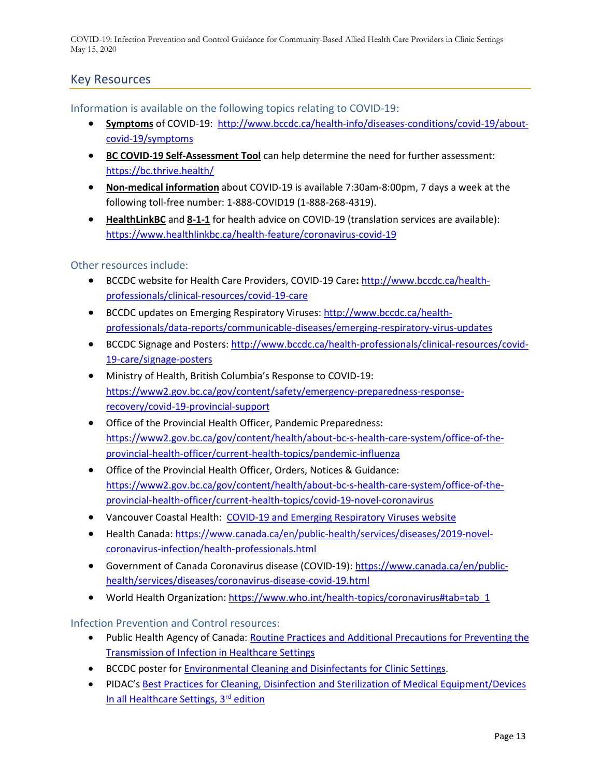# <span id="page-13-0"></span>Key Resources

Information is available on the following topics relating to COVID-19:

- **Symptoms** of COVID-19: [http://www.bccdc.ca/health-info/diseases-conditions/covid-19/about](http://www.bccdc.ca/health-info/diseases-conditions/covid-19/about-covid-19/symptoms)[covid-19/symptoms](http://www.bccdc.ca/health-info/diseases-conditions/covid-19/about-covid-19/symptoms)
- **BC COVID-19 Self-Assessment Tool** can help determine the need for further assessment: <https://bc.thrive.health/>
- **Non-medical information** about COVID-19 is available 7:30am-8:00pm, 7 days a week at the following toll-free number: 1-888-COVID19 (1-888-268-4319).
- **HealthLinkBC** and **8-1-1** for health advice on COVID-19 (translation services are available): <https://www.healthlinkbc.ca/health-feature/coronavirus-covid-19>

#### Other resources include:

- BCCDC website for Health Care Providers, COVID-19 Care**:** [http://www.bccdc.ca/health](http://www.bccdc.ca/health-professionals/clinical-resources/covid-19-care)[professionals/clinical-resources/covid-19-care](http://www.bccdc.ca/health-professionals/clinical-resources/covid-19-care)
- BCCDC updates on Emerging Respiratory Viruses: [http://www.bccdc.ca/health](http://www.bccdc.ca/health-professionals/data-reports/communicable-diseases/emerging-respiratory-virus-updates)[professionals/data-reports/communicable-diseases/emerging-respiratory-virus-updates](http://www.bccdc.ca/health-professionals/data-reports/communicable-diseases/emerging-respiratory-virus-updates)
- BCCDC Signage and Posters[: http://www.bccdc.ca/health-professionals/clinical-resources/covid-](http://www.bccdc.ca/health-professionals/clinical-resources/covid-19-care/signage-posters)[19-care/signage-posters](http://www.bccdc.ca/health-professionals/clinical-resources/covid-19-care/signage-posters)
- Ministry of Health, British Columbia's Response to COVID-19: [https://www2.gov.bc.ca/gov/content/safety/emergency-preparedness-response](https://www2.gov.bc.ca/gov/content/safety/emergency-preparedness-response-recovery/covid-19-provincial-support)[recovery/covid-19-provincial-support](https://www2.gov.bc.ca/gov/content/safety/emergency-preparedness-response-recovery/covid-19-provincial-support)
- Office of the Provincial Health Officer, Pandemic Preparedness: [https://www2.gov.bc.ca/gov/content/health/about-bc-s-health-care-system/office-of-the](https://www2.gov.bc.ca/gov/content/health/about-bc-s-health-care-system/office-of-the-provincial-health-officer/current-health-topics/pandemic-influenza)[provincial-health-officer/current-health-topics/pandemic-influenza](https://www2.gov.bc.ca/gov/content/health/about-bc-s-health-care-system/office-of-the-provincial-health-officer/current-health-topics/pandemic-influenza)
- Office of the Provincial Health Officer, Orders, Notices & Guidance: [https://www2.gov.bc.ca/gov/content/health/about-bc-s-health-care-system/office-of-the](https://www2.gov.bc.ca/gov/content/health/about-bc-s-health-care-system/office-of-the-provincial-health-officer/current-health-topics/covid-19-novel-coronavirus)[provincial-health-officer/current-health-topics/covid-19-novel-coronavirus](https://www2.gov.bc.ca/gov/content/health/about-bc-s-health-care-system/office-of-the-provincial-health-officer/current-health-topics/covid-19-novel-coronavirus)
- Vancouver Coastal Health: [COVID-19 and Emerging Respiratory Viruses website](http://ipac.vch.ca/Pages/Emerging-Issues.aspx)
- Health Canada: [https://www.canada.ca/en/public-health/services/diseases/2019-novel](https://www.canada.ca/en/public-health/services/diseases/2019-novel-coronavirus-infection/health-professionals.html)[coronavirus-infection/health-professionals.html](https://www.canada.ca/en/public-health/services/diseases/2019-novel-coronavirus-infection/health-professionals.html)
- Government of Canada Coronavirus disease (COVID-19): [https://www.canada.ca/en/public](https://www.canada.ca/en/public-health/services/diseases/coronavirus-disease-covid-19.html)[health/services/diseases/coronavirus-disease-covid-19.html](https://www.canada.ca/en/public-health/services/diseases/coronavirus-disease-covid-19.html)
- World Health Organization: [https://www.who.int/health-topics/coronavirus#tab=tab\\_1](https://www.who.int/health-topics/coronavirus#tab=tab_1)

#### Infection Prevention and Control resources:

- Public Health Agency of Canada[: Routine Practices and Additional Precautions for Preventing the](https://www.canada.ca/content/dam/phac-aspc/documents/services/publications/diseases-conditions/routine-practices-precautions-healthcare-associated-infections/routine-practices-precautions-healthcare-associated-infections-2016-FINAL-eng.pdf)  [Transmission of Infection in Healthcare Settings](https://www.canada.ca/content/dam/phac-aspc/documents/services/publications/diseases-conditions/routine-practices-precautions-healthcare-associated-infections/routine-practices-precautions-healthcare-associated-infections-2016-FINAL-eng.pdf)
- BCCDC poster for **Environmental Cleaning and Disinfectants for Clinic Settings.**
- PIDAC's Best [Practices for Cleaning, Disinfection and Sterilization of Medical Equipment/Devices](https://www.publichealthontario.ca/-/media/documents/B/2013/bp-cleaning-disinfection-sterilization-hcs.pdf?la=en)  [In all Healthcare Settings, 3rd](https://www.publichealthontario.ca/-/media/documents/B/2013/bp-cleaning-disinfection-sterilization-hcs.pdf?la=en) edition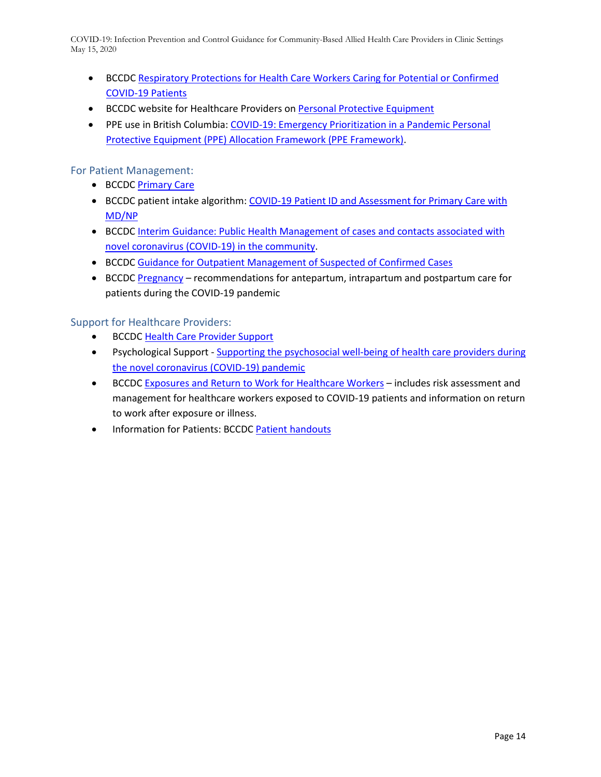- BCCDC [Respiratory Protections for Health Care Workers Caring for Potential or Confirmed](http://www.bccdc.ca/Health-Info-Site/Documents/Respiratory-protection-COVID19.pdf)  [COVID-19 Patients](http://www.bccdc.ca/Health-Info-Site/Documents/Respiratory-protection-COVID19.pdf)
- BCCDC website for Healthcare Providers on [Personal Protective Equipment](http://www.bccdc.ca/health-professionals/clinical-resources/covid-19-care/infection-control/personal-protective-equipment)
- PPE use in British Columbia: COVID-19: Emergency Prioritization in a Pandemic Personal [Protective Equipment \(PPE\) Allocation Framework \(PPE Framework\).](http://www.bccdc.ca/health-professionals/clinical-resources/covid-19-care/infection-control/personal-protective-equipment)

For Patient Management:

- BCCDC [Primary Care](http://www.bccdc.ca/health-professionals/clinical-resources/covid-19-care/clinical-care/primary-care)
- BCCDC patient intake algorithm: COVID-19 [Patient ID and Assessment for Primary Care with](http://www.bccdc.ca/Health-Professionals-Site/Documents/COVID-19_MOH_BCCDC_Flowchart.pdf)  [MD/NP](http://www.bccdc.ca/Health-Professionals-Site/Documents/COVID-19_MOH_BCCDC_Flowchart.pdf)
- BCCDC [Interim Guidance: Public Health Management of cases and contacts associated with](http://www.bccdc.ca/resource-gallery/Documents/Guidelines%20and%20Forms/Guidelines%20and%20Manuals/Epid/CD%20Manual/Chapter%201%20-%20CDC/2019-nCoV-Interim_Guidelines.pdf)  [novel coronavirus \(COVID-19\) in the community.](http://www.bccdc.ca/resource-gallery/Documents/Guidelines%20and%20Forms/Guidelines%20and%20Manuals/Epid/CD%20Manual/Chapter%201%20-%20CDC/2019-nCoV-Interim_Guidelines.pdf)
- BCCDC [Guidance for Outpatient Management of Suspected of Confirmed Cases](http://www.bccdc.ca/health-professionals/clinical-resources/covid-19-care/clinical-care/outpatient)
- BCCDC [Pregnancy](http://www.bccdc.ca/health-professionals/clinical-resources/covid-19-care/clinical-care/pregnancy) recommendations for antepartum, intrapartum and postpartum care for patients during the COVID-19 pandemic

Support for Healthcare Providers:

- BCCDC [Health Care Provider Support](http://www.bccdc.ca/health-professionals/clinical-resources/covid-19-care/health-care-provider-support)
- Psychological Support [Supporting the psychosocial well-being of health care providers during](http://www.bccdc.ca/Health-Professionals-Site/Documents/COVID19-Psychosocial-Supports-HCW.pdf)  [the novel coronavirus \(COVID-19\) pandemic](http://www.bccdc.ca/Health-Professionals-Site/Documents/COVID19-Psychosocial-Supports-HCW.pdf)
- BCCD[C Exposures and Return to Work for Healthcare Workers](http://www.bccdc.ca/health-professionals/clinical-resources/covid-19-care/testing-and-case-management-for-healthcare-workers) includes risk assessment and management for healthcare workers exposed to COVID-19 patients and information on return to work after exposure or illness.
- Information for Patients: BCCD[C Patient handouts](http://www.bccdc.ca/health-professionals/clinical-resources/covid-19-care/patient-handouts)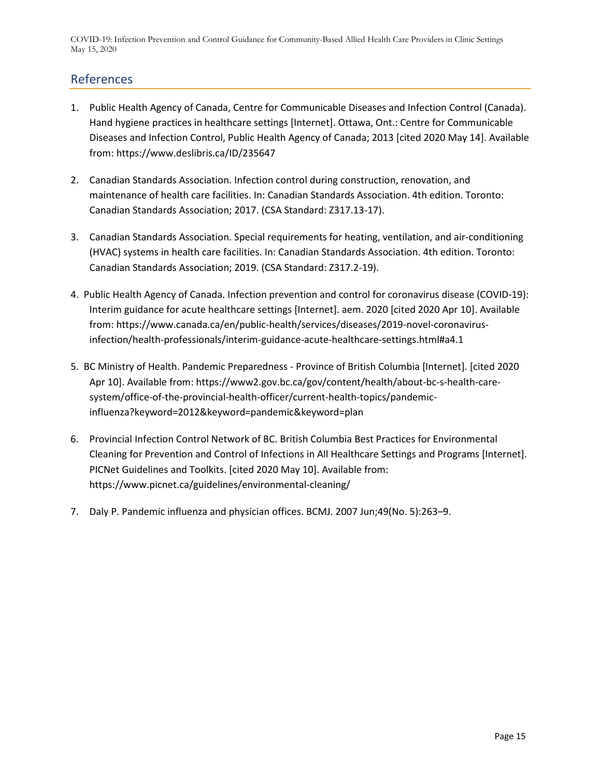# <span id="page-15-0"></span>References

- 1. Public Health Agency of Canada, Centre for Communicable Diseases and Infection Control (Canada). Hand hygiene practices in healthcare settings [Internet]. Ottawa, Ont.: Centre for Communicable Diseases and Infection Control, Public Health Agency of Canada; 2013 [cited 2020 May 14]. Available from: https://www.deslibris.ca/ID/235647
- 2. Canadian Standards Association. Infection control during construction, renovation, and maintenance of health care facilities. In: Canadian Standards Association. 4th edition. Toronto: Canadian Standards Association; 2017. (CSA Standard: Z317.13-17).
- 3. Canadian Standards Association. Special requirements for heating, ventilation, and air-conditioning (HVAC) systems in health care facilities. In: Canadian Standards Association. 4th edition. Toronto: Canadian Standards Association; 2019. (CSA Standard: Z317.2-19).
- 4. Public Health Agency of Canada. Infection prevention and control for coronavirus disease (COVID-19): Interim guidance for acute healthcare settings [Internet]. aem. 2020 [cited 2020 Apr 10]. Available from: https://www.canada.ca/en/public-health/services/diseases/2019-novel-coronavirusinfection/health-professionals/interim-guidance-acute-healthcare-settings.html#a4.1
- 5. BC Ministry of Health. Pandemic Preparedness Province of British Columbia [Internet]. [cited 2020 Apr 10]. Available from: https://www2.gov.bc.ca/gov/content/health/about-bc-s-health-caresystem/office-of-the-provincial-health-officer/current-health-topics/pandemicinfluenza?keyword=2012&keyword=pandemic&keyword=plan
- 6. Provincial Infection Control Network of BC. British Columbia Best Practices for Environmental Cleaning for Prevention and Control of Infections in All Healthcare Settings and Programs [Internet]. PICNet Guidelines and Toolkits. [cited 2020 May 10]. Available from: https://www.picnet.ca/guidelines/environmental-cleaning/
- 7. Daly P. Pandemic influenza and physician offices. BCMJ. 2007 Jun;49(No. 5):263–9.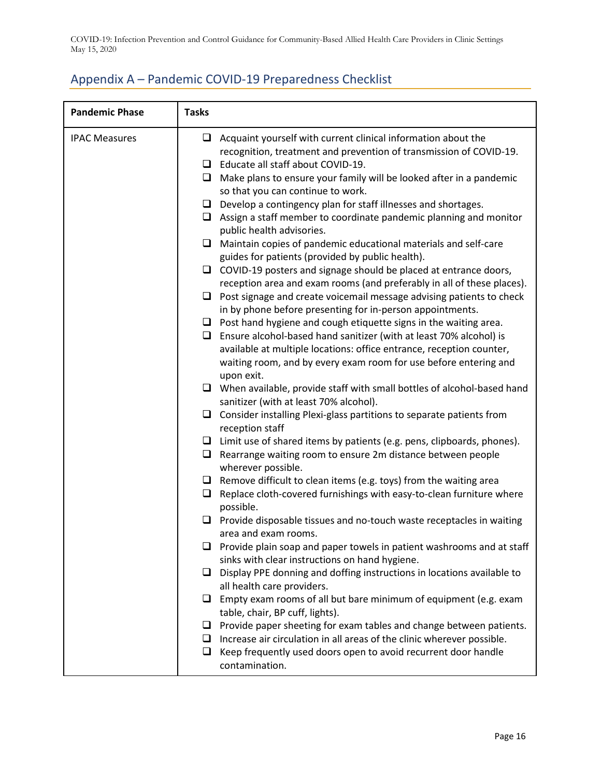# <span id="page-16-0"></span>Appendix A – Pandemic COVID-19 Preparedness Checklist

| <b>Pandemic Phase</b> | <b>Tasks</b> |                                                                                                                                            |
|-----------------------|--------------|--------------------------------------------------------------------------------------------------------------------------------------------|
| <b>IPAC Measures</b>  |              | $\Box$ Acquaint yourself with current clinical information about the<br>recognition, treatment and prevention of transmission of COVID-19. |
|                       |              | $\Box$ Educate all staff about COVID-19.                                                                                                   |
|                       |              | $\Box$ Make plans to ensure your family will be looked after in a pandemic                                                                 |
|                       |              | so that you can continue to work.                                                                                                          |
|                       |              | $\Box$ Develop a contingency plan for staff illnesses and shortages.                                                                       |
|                       |              | $\Box$ Assign a staff member to coordinate pandemic planning and monitor                                                                   |
|                       |              | public health advisories.                                                                                                                  |
|                       |              | $\Box$ Maintain copies of pandemic educational materials and self-care                                                                     |
|                       |              | guides for patients (provided by public health).                                                                                           |
|                       |              | $\Box$ COVID-19 posters and signage should be placed at entrance doors,                                                                    |
|                       |              | reception area and exam rooms (and preferably in all of these places).                                                                     |
|                       |              | $\Box$ Post signage and create voicemail message advising patients to check                                                                |
|                       |              | in by phone before presenting for in-person appointments.                                                                                  |
|                       |              | $\Box$ Post hand hygiene and cough etiquette signs in the waiting area.                                                                    |
|                       |              | $\Box$ Ensure alcohol-based hand sanitizer (with at least 70% alcohol) is                                                                  |
|                       |              | available at multiple locations: office entrance, reception counter,                                                                       |
|                       |              | waiting room, and by every exam room for use before entering and                                                                           |
|                       |              | upon exit.                                                                                                                                 |
|                       |              | $\Box$ When available, provide staff with small bottles of alcohol-based hand                                                              |
|                       |              | sanitizer (with at least 70% alcohol).                                                                                                     |
|                       |              | $\Box$ Consider installing Plexi-glass partitions to separate patients from                                                                |
|                       |              | reception staff                                                                                                                            |
|                       |              | $\Box$ Limit use of shared items by patients (e.g. pens, clipboards, phones).                                                              |
|                       |              | $\Box$ Rearrange waiting room to ensure 2m distance between people                                                                         |
|                       |              | wherever possible.                                                                                                                         |
|                       |              | $\Box$ Remove difficult to clean items (e.g. toys) from the waiting area                                                                   |
|                       | u.           | Replace cloth-covered furnishings with easy-to-clean furniture where<br>possible.                                                          |
|                       |              | $\Box$ Provide disposable tissues and no-touch waste receptacles in waiting                                                                |
|                       |              | area and exam rooms.                                                                                                                       |
|                       |              | Provide plain soap and paper towels in patient washrooms and at staff                                                                      |
|                       |              | sinks with clear instructions on hand hygiene.                                                                                             |
|                       |              | $\Box$ Display PPE donning and doffing instructions in locations available to                                                              |
|                       |              | all health care providers.                                                                                                                 |
|                       |              | $\Box$ Empty exam rooms of all but bare minimum of equipment (e.g. exam                                                                    |
|                       |              | table, chair, BP cuff, lights).                                                                                                            |
|                       |              | $\Box$ Provide paper sheeting for exam tables and change between patients.                                                                 |
|                       |              | $\Box$ Increase air circulation in all areas of the clinic wherever possible.                                                              |
|                       | ❏            | Keep frequently used doors open to avoid recurrent door handle                                                                             |
|                       |              | contamination.                                                                                                                             |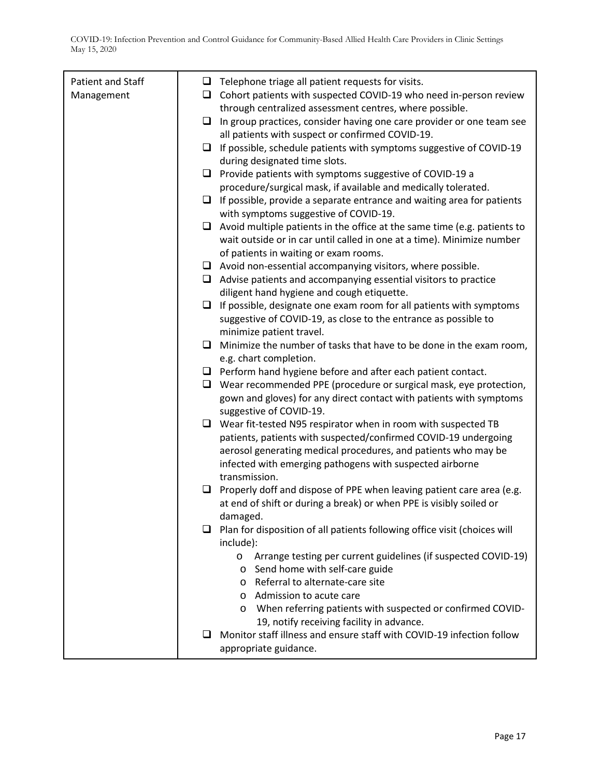| Patient and Staff |        | $\Box$ Telephone triage all patient requests for visits.                                                                                        |
|-------------------|--------|-------------------------------------------------------------------------------------------------------------------------------------------------|
| Management        |        | $\Box$ Cohort patients with suspected COVID-19 who need in-person review                                                                        |
|                   |        | through centralized assessment centres, where possible.                                                                                         |
|                   | ❏      | In group practices, consider having one care provider or one team see                                                                           |
|                   |        | all patients with suspect or confirmed COVID-19.                                                                                                |
|                   |        | $\Box$ If possible, schedule patients with symptoms suggestive of COVID-19                                                                      |
|                   |        | during designated time slots.                                                                                                                   |
|                   |        | $\Box$ Provide patients with symptoms suggestive of COVID-19 a                                                                                  |
|                   |        | procedure/surgical mask, if available and medically tolerated.                                                                                  |
|                   |        | $\Box$ If possible, provide a separate entrance and waiting area for patients                                                                   |
|                   |        | with symptoms suggestive of COVID-19.                                                                                                           |
|                   |        | $\Box$ Avoid multiple patients in the office at the same time (e.g. patients to                                                                 |
|                   |        | wait outside or in car until called in one at a time). Minimize number                                                                          |
|                   |        | of patients in waiting or exam rooms.                                                                                                           |
|                   |        | $\Box$ Avoid non-essential accompanying visitors, where possible.                                                                               |
|                   |        | $\Box$ Advise patients and accompanying essential visitors to practice                                                                          |
|                   |        | diligent hand hygiene and cough etiquette.                                                                                                      |
|                   | □      | If possible, designate one exam room for all patients with symptoms                                                                             |
|                   |        | suggestive of COVID-19, as close to the entrance as possible to                                                                                 |
|                   |        | minimize patient travel.                                                                                                                        |
|                   | $\Box$ | Minimize the number of tasks that have to be done in the exam room,                                                                             |
|                   |        | e.g. chart completion.                                                                                                                          |
|                   |        | $\Box$ Perform hand hygiene before and after each patient contact.                                                                              |
|                   |        | $\Box$ Wear recommended PPE (procedure or surgical mask, eye protection,<br>gown and gloves) for any direct contact with patients with symptoms |
|                   |        | suggestive of COVID-19.                                                                                                                         |
|                   | □      | Wear fit-tested N95 respirator when in room with suspected TB                                                                                   |
|                   |        | patients, patients with suspected/confirmed COVID-19 undergoing                                                                                 |
|                   |        | aerosol generating medical procedures, and patients who may be                                                                                  |
|                   |        | infected with emerging pathogens with suspected airborne                                                                                        |
|                   |        | transmission.                                                                                                                                   |
|                   | u.     | Properly doff and dispose of PPE when leaving patient care area (e.g.                                                                           |
|                   |        | at end of shift or during a break) or when PPE is visibly soiled or                                                                             |
|                   |        | damaged.                                                                                                                                        |
|                   | ⊔      | Plan for disposition of all patients following office visit (choices will                                                                       |
|                   |        | include):                                                                                                                                       |
|                   |        | Arrange testing per current guidelines (if suspected COVID-19)<br>$\circ$                                                                       |
|                   |        | Send home with self-care guide<br>$\circ$                                                                                                       |
|                   |        | o Referral to alternate-care site                                                                                                               |
|                   |        | o Admission to acute care                                                                                                                       |
|                   |        | When referring patients with suspected or confirmed COVID-<br>$\circ$                                                                           |
|                   |        | 19, notify receiving facility in advance.<br>Monitor staff illness and ensure staff with COVID-19 infection follow                              |
|                   |        |                                                                                                                                                 |
|                   |        | appropriate guidance.                                                                                                                           |